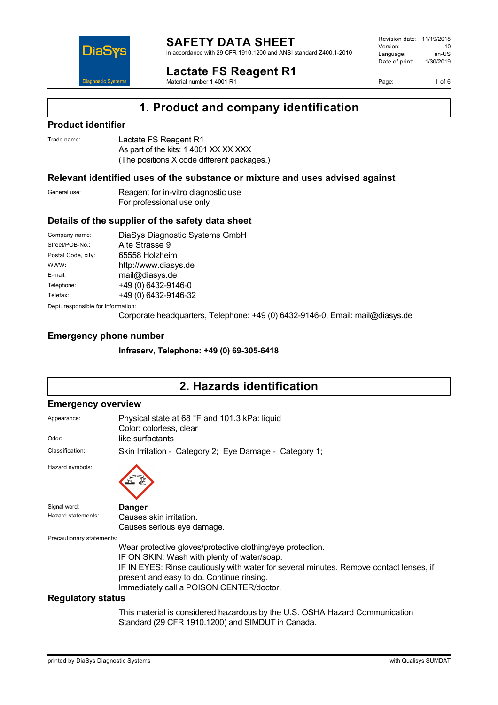

in accordance with 29 CFR 1910.1200 and ANSI standard Z400.1-2010

**Lactate FS Reagent R1**

Material number 1 4001 R1

Revision date: 11/19/2018 Version: 10<br>Language: en-LIS Language: en-US<br>Date of print: 1/30/2019  $Date$  of print:

Page: 1 of 6

## **1. Product and company identification**

### **Product identifier**

**DiaS** 

**Diagnostic System** 

| Trade name: | Lactate FS Reagent R1                      |
|-------------|--------------------------------------------|
|             | As part of the kits: 1 4001 XX XX XXX      |
|             | (The positions X code different packages.) |

### **Relevant identified uses of the substance or mixture and uses advised against**

General use: Reagent for in-vitro diagnostic use For professional use only

### **Details of the supplier of the safety data sheet**

Company name: DiaSys Diagnostic Systems GmbH<br>Street/POB-No.: Alte Strasse 9 Alte Strasse 9 Postal Code, city: 65558 Holzheim WWW: <http://www.diasys.de> E-mail: mail@diasys.de Telephone: +49 (0) 6432-9146-0 Telefax: +49 (0) 6432-9146-32 Dept. responsible for information:

Corporate headquarters, Telephone: +49 (0) 6432-9146-0, Email: mail@diasys.de

### **Emergency phone number**

**Infraserv, Telephone: +49 (0) 69-305-6418**

# **2. Hazards identification**

### **Emergency overview**

| Appearance:               | Physical state at 68 °F and 101.3 kPa: liquid<br>Color: colorless, clear                                                                                                        |
|---------------------------|---------------------------------------------------------------------------------------------------------------------------------------------------------------------------------|
| Odor:                     | like surfactants                                                                                                                                                                |
| Classification:           | Skin Irritation - Category 2; Eye Damage - Category 1;                                                                                                                          |
| Hazard symbols:           |                                                                                                                                                                                 |
| Signal word:              | <b>Danger</b>                                                                                                                                                                   |
| Hazard statements:        | Causes skin irritation.                                                                                                                                                         |
|                           | Causes serious eye damage.                                                                                                                                                      |
| Precautionary statements: |                                                                                                                                                                                 |
|                           | Wear protective gloves/protective clothing/eye protection.                                                                                                                      |
|                           | IF ON SKIN: Wash with plenty of water/soap.                                                                                                                                     |
|                           | IF IN EYES: Rinse cautiously with water for several minutes. Remove contact lenses, if<br>present and easy to do. Continue rinsing.<br>Immediately call a POISON CENTER/doctor. |
| <b>Regulatory status</b>  |                                                                                                                                                                                 |
|                           | This material is considered hazardous by the U.S. OSHA Hazard Communication<br>Standard (29 CFR 1910.1200) and SIMDUT in Canada.                                                |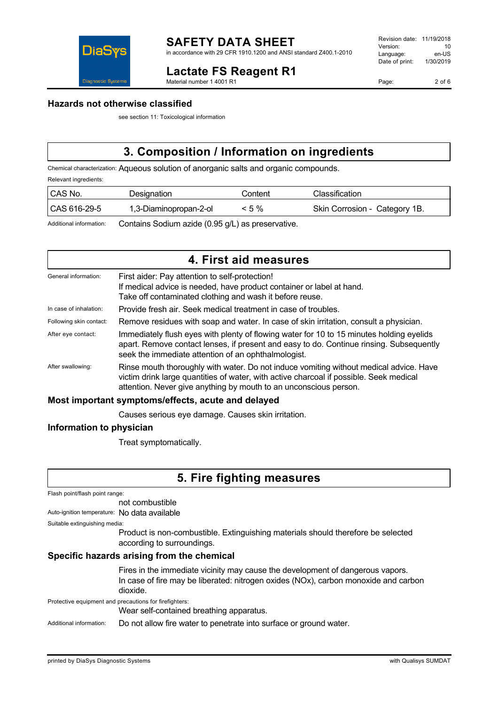

## **Lactate FS Reagent R1**

Material number 1 4001 R1

Page: 2 of 6



### **Hazards not otherwise classified**

see section 11: Toxicological information

# **3. Composition / Information on ingredients**

Chemical characterization: Aqueous solution of anorganic salts and organic compounds.

Relevant ingredients:

| CAS No.      | Designation            | Content  | Classification.               |
|--------------|------------------------|----------|-------------------------------|
| CAS 616-29-5 | 1,3-Diaminopropan-2-ol | $< 5 \%$ | Skin Corrosion - Category 1B. |

Additional information: Contains Sodium azide (0.95 g/L) as preservative.

|                         | 4. First aid measures                                                                                                                                                                                                                                 |
|-------------------------|-------------------------------------------------------------------------------------------------------------------------------------------------------------------------------------------------------------------------------------------------------|
| General information:    | First aider: Pay attention to self-protection!<br>If medical advice is needed, have product container or label at hand.<br>Take off contaminated clothing and wash it before reuse.                                                                   |
| In case of inhalation:  | Provide fresh air. Seek medical treatment in case of troubles.                                                                                                                                                                                        |
| Following skin contact: | Remove residues with soap and water. In case of skin irritation, consult a physician.                                                                                                                                                                 |
| After eye contact:      | Immediately flush eyes with plenty of flowing water for 10 to 15 minutes holding eyelids<br>apart. Remove contact lenses, if present and easy to do. Continue rinsing. Subsequently<br>seek the immediate attention of an ophthalmologist.            |
| After swallowing:       | Rinse mouth thoroughly with water. Do not induce vomiting without medical advice. Have<br>victim drink large quantities of water, with active charcoal if possible. Seek medical<br>attention. Never give anything by mouth to an unconscious person. |
|                         | Most important symptoms/effects, acute and delayed                                                                                                                                                                                                    |

Causes serious eye damage. Causes skin irritation.

### **Information to physician**

Treat symptomatically.

## **5. Fire fighting measures**

not combustible

Auto-ignition temperature: No data available

```
Suitable extinguishing media:
```
Product is non-combustible. Extinguishing materials should therefore be selected according to surroundings.

### **Specific hazards arising from the chemical**

Fires in the immediate vicinity may cause the development of dangerous vapors. In case of fire may be liberated: nitrogen oxides (NOx), carbon monoxide and carbon dioxide.

Protective equipment and precautions for firefighters:

Wear self-contained breathing apparatus.

Additional information: Do not allow fire water to penetrate into surface or ground water.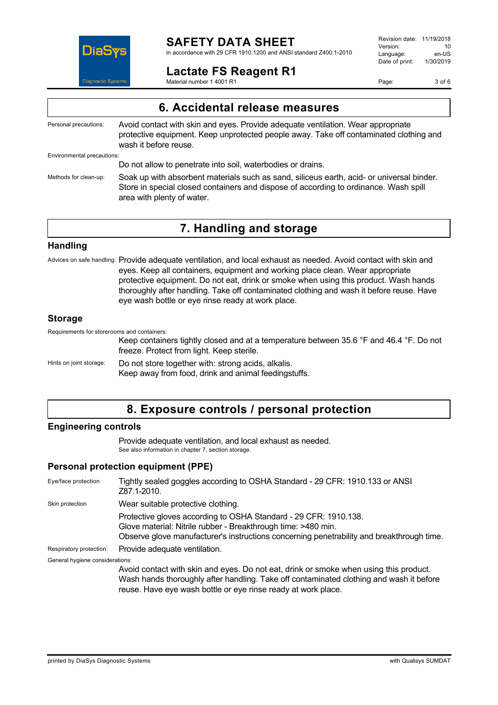

## **SAFETY DATA SHEET**

in accordance with 29 CFR 1910.1200 and ANSI standard Z400.1-2010

## **Lactate FS Reagent R1**

Material number 1 4001 R1

Revision date: 11/19/2018 Version: 10<br>Language: en-LIS Language: en-US<br>Date of print: 1/30/2019  $Date$  of print:

Page: 3 of 6

## **6. Accidental release measures**

Personal precautions: Avoid contact with skin and eyes. Provide adequate ventilation. Wear appropriate protective equipment. Keep unprotected people away. Take off contaminated clothing and wash it before reuse.

Environmental precautions:

Do not allow to penetrate into soil, waterbodies or drains.

Methods for clean-up: Soak up with absorbent materials such as sand, siliceus earth, acid- or universal binder. Store in special closed containers and dispose of according to ordinance. Wash spill area with plenty of water.

## **7. Handling and storage**

#### **Handling**

Advices on safe handling: Provide adequate ventilation, and local exhaust as needed. Avoid contact with skin and eyes. Keep all containers, equipment and working place clean. Wear appropriate protective equipment. Do not eat, drink or smoke when using this product. Wash hands thoroughly after handling. Take off contaminated clothing and wash it before reuse. Have eye wash bottle or eye rinse ready at work place.

### **Storage**

Requirements for storerooms and containers:

Keep containers tightly closed and at a temperature between 35.6 °F and 46.4 °F. Do not freeze. Protect from light. Keep sterile.

Hints on joint storage: Do not store together with: strong acids, alkalis. Keep away from food, drink and animal feedingstuffs.

## **8. Exposure controls / personal protection**

### **Engineering controls**

Provide adequate ventilation, and local exhaust as needed. See also information in chapter 7, section storage.

### **Personal protection equipment (PPE)**

| Eye/face protection             | Tightly sealed goggles according to OSHA Standard - 29 CFR: 1910.133 or ANSI<br>Z87.1-2010.                                                                                                                                                       |
|---------------------------------|---------------------------------------------------------------------------------------------------------------------------------------------------------------------------------------------------------------------------------------------------|
| Skin protection                 | Wear suitable protective clothing.                                                                                                                                                                                                                |
|                                 | Protective gloves according to OSHA Standard - 29 CFR: 1910.138.<br>Glove material: Nitrile rubber - Breakthrough time: >480 min.<br>Observe glove manufacturer's instructions concerning penetrability and breakthrough time.                    |
| Respiratory protection:         | Provide adequate ventilation.                                                                                                                                                                                                                     |
| General hygiene considerations: |                                                                                                                                                                                                                                                   |
|                                 | Avoid contact with skin and eyes. Do not eat, drink or smoke when using this product.<br>Wash hands thoroughly after handling. Take off contaminated clothing and wash it before<br>reuse. Have eye wash bottle or eye rinse ready at work place. |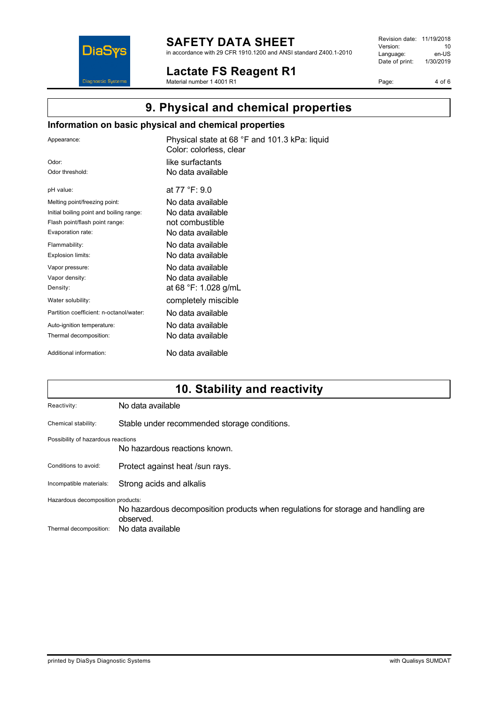

# **SAFETY DATA SHEET**

in accordance with 29 CFR 1910.1200 and ANSI standard Z400.1-2010

**Lactate FS Reagent R1** Material number 1 4001 R1

Revision date: 11/19/2018 Version: 10<br>
Language: en-US Language: en-US<br>Date of print: 1/30/2019  $Date$  of print:

Page: 4 of 6

# **9. Physical and chemical properties**

### **Information on basic physical and chemical properties**

| Appearance:                              | Physical state at 68 °F and 101.3 kPa: liquid<br>Color: colorless, clear |
|------------------------------------------|--------------------------------------------------------------------------|
| Odor:                                    | like surfactants                                                         |
| Odor threshold:                          | No data available                                                        |
| pH value:                                | at 77 °F: 9.0                                                            |
| Melting point/freezing point:            | No data available.                                                       |
| Initial boiling point and boiling range: | No data available                                                        |
| Flash point/flash point range:           | not combustible                                                          |
| Evaporation rate:                        | No data available                                                        |
| Flammability:                            | No data available                                                        |
| Explosion limits:                        | No data available.                                                       |
| Vapor pressure:                          | No data available                                                        |
| Vapor density:                           | No data available.                                                       |
| Density:                                 | at 68 °F: 1.028 g/mL                                                     |
| Water solubility:                        | completely miscible                                                      |
| Partition coefficient: n-octanol/water:  | No data available                                                        |
| Auto-ignition temperature:               | No data available                                                        |
| Thermal decomposition:                   | No data available                                                        |
| Additional information:                  | No data available                                                        |

# **10. Stability and reactivity**

| Reactivity:                        | No data available                                                                              |
|------------------------------------|------------------------------------------------------------------------------------------------|
| Chemical stability:                | Stable under recommended storage conditions.                                                   |
| Possibility of hazardous reactions | No hazardous reactions known.                                                                  |
| Conditions to avoid:               | Protect against heat /sun rays.                                                                |
| Incompatible materials:            | Strong acids and alkalis                                                                       |
| Hazardous decomposition products:  | No hazardous decomposition products when regulations for storage and handling are<br>observed. |
| Thermal decomposition:             | No data available                                                                              |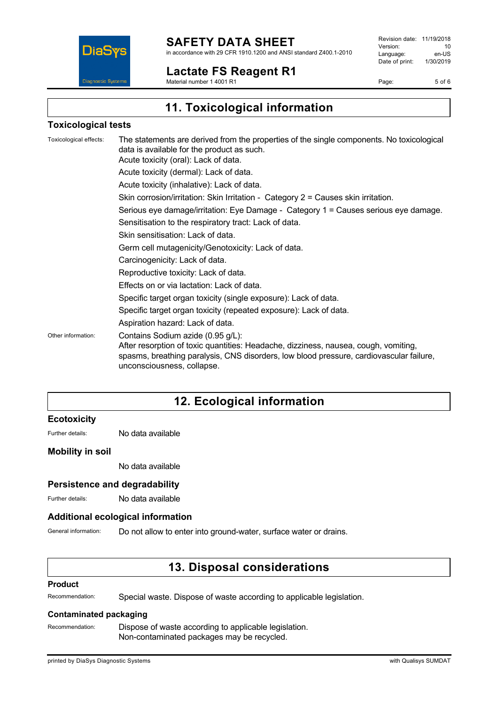

**Lactate FS Reagent R1**

Revision date: 11/19/2018 Version: 10<br>Language: en-LIS Language: en-US<br>Date of print: 1/30/2019  $Date$  of print:

Page: 5 of 6

Material number 1 4001 R1

# **11. Toxicological information**

### **Toxicological tests**

Toxicological effects: The statements are derived from the properties of the single components. No toxicological data is available for the product as such. Acute toxicity (oral): Lack of data. Acute toxicity (dermal): Lack of data. Acute toxicity (inhalative): Lack of data. Skin corrosion/irritation: Skin Irritation - Category 2 = Causes skin irritation. Serious eye damage/irritation: Eye Damage - Category 1 = Causes serious eye damage. Sensitisation to the respiratory tract: Lack of data. Skin sensitisation: Lack of data. Germ cell mutagenicity/Genotoxicity: Lack of data. Carcinogenicity: Lack of data. Reproductive toxicity: Lack of data. Effects on or via lactation: Lack of data. Specific target organ toxicity (single exposure): Lack of data. Specific target organ toxicity (repeated exposure): Lack of data. Aspiration hazard: Lack of data. Other information: Contains Sodium azide (0.95 g/L): After resorption of toxic quantities: Headache, dizziness, nausea, cough, vomiting, spasms, breathing paralysis, CNS disorders, low blood pressure, cardiovascular failure, unconsciousness, collapse.

## **12. Ecological information**

### **Ecotoxicity**

Further details: No data available

### **Mobility in soil**

No data available

### **Persistence and degradability**

Further details: No data available

### **Additional ecological information**

General information: Do not allow to enter into ground-water, surface water or drains.

## **13. Disposal considerations**

#### **Product**

Recommendation: Special waste. Dispose of waste according to applicable legislation.

#### **Contaminated packaging**

Recommendation: Dispose of waste according to applicable legislation. Non-contaminated packages may be recycled.